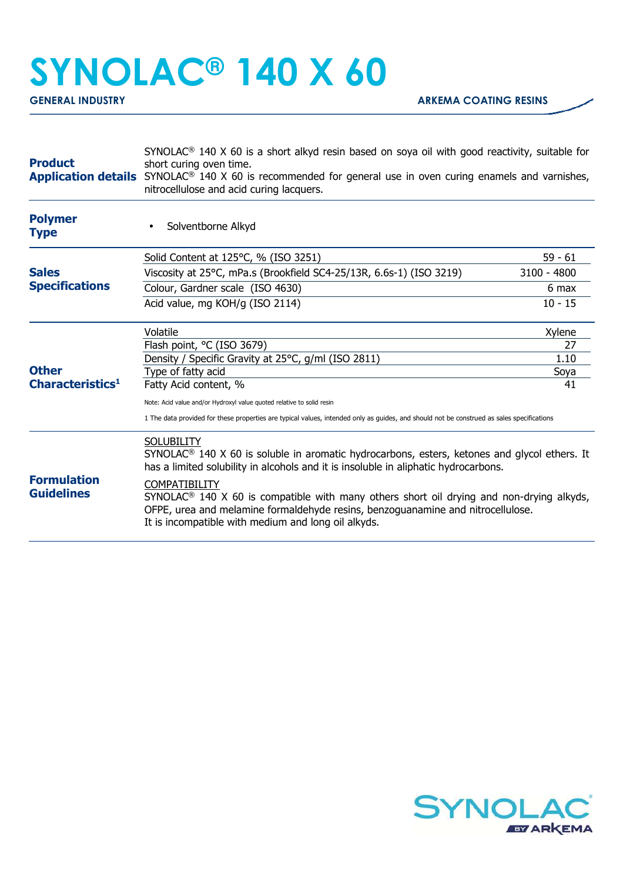## **SYNOLAC® 140 X 60**

| <b>Product</b>                               | SYNOLAC <sup>®</sup> 140 X 60 is a short alkyd resin based on soya oil with good reactivity, suitable for<br>short curing oven time.<br><b>Application details</b> SYNOLAC <sup>®</sup> 140 X 60 is recommended for general use in oven curing enamels and varnishes,<br>nitrocellulose and acid curing lacquers.                                                                                                                                                                              |             |
|----------------------------------------------|------------------------------------------------------------------------------------------------------------------------------------------------------------------------------------------------------------------------------------------------------------------------------------------------------------------------------------------------------------------------------------------------------------------------------------------------------------------------------------------------|-------------|
| <b>Polymer</b><br><b>Type</b>                | Solventborne Alkyd                                                                                                                                                                                                                                                                                                                                                                                                                                                                             |             |
|                                              | Solid Content at 125°C, % (ISO 3251)                                                                                                                                                                                                                                                                                                                                                                                                                                                           | $59 - 61$   |
| <b>Sales</b><br><b>Specifications</b>        | Viscosity at 25°C, mPa.s (Brookfield SC4-25/13R, 6.6s-1) (ISO 3219)                                                                                                                                                                                                                                                                                                                                                                                                                            | 3100 - 4800 |
|                                              | Colour, Gardner scale (ISO 4630)                                                                                                                                                                                                                                                                                                                                                                                                                                                               | 6 max       |
|                                              | Acid value, mg KOH/g (ISO 2114)                                                                                                                                                                                                                                                                                                                                                                                                                                                                | $10 - 15$   |
| <b>Other</b><br>Characteristics <sup>1</sup> | Volatile                                                                                                                                                                                                                                                                                                                                                                                                                                                                                       | Xylene      |
|                                              | Flash point, °C (ISO 3679)                                                                                                                                                                                                                                                                                                                                                                                                                                                                     | 27          |
|                                              | Density / Specific Gravity at 25°C, g/ml (ISO 2811)                                                                                                                                                                                                                                                                                                                                                                                                                                            | 1.10        |
|                                              | Type of fatty acid<br>Fatty Acid content, %                                                                                                                                                                                                                                                                                                                                                                                                                                                    | Soya<br>41  |
|                                              | Note: Acid value and/or Hydroxyl value quoted relative to solid resin                                                                                                                                                                                                                                                                                                                                                                                                                          |             |
|                                              | 1 The data provided for these properties are typical values, intended only as guides, and should not be construed as sales specifications                                                                                                                                                                                                                                                                                                                                                      |             |
| <b>Formulation</b><br><b>Guidelines</b>      | <b>SOLUBILITY</b><br>SYNOLAC <sup>®</sup> 140 X 60 is soluble in aromatic hydrocarbons, esters, ketones and glycol ethers. It<br>has a limited solubility in alcohols and it is insoluble in aliphatic hydrocarbons.<br><b>COMPATIBILITY</b><br>SYNOLAC <sup>®</sup> 140 X 60 is compatible with many others short oil drying and non-drying alkyds,<br>OFPE, urea and melamine formaldehyde resins, benzoguanamine and nitrocellulose.<br>It is incompatible with medium and long oil alkyds. |             |